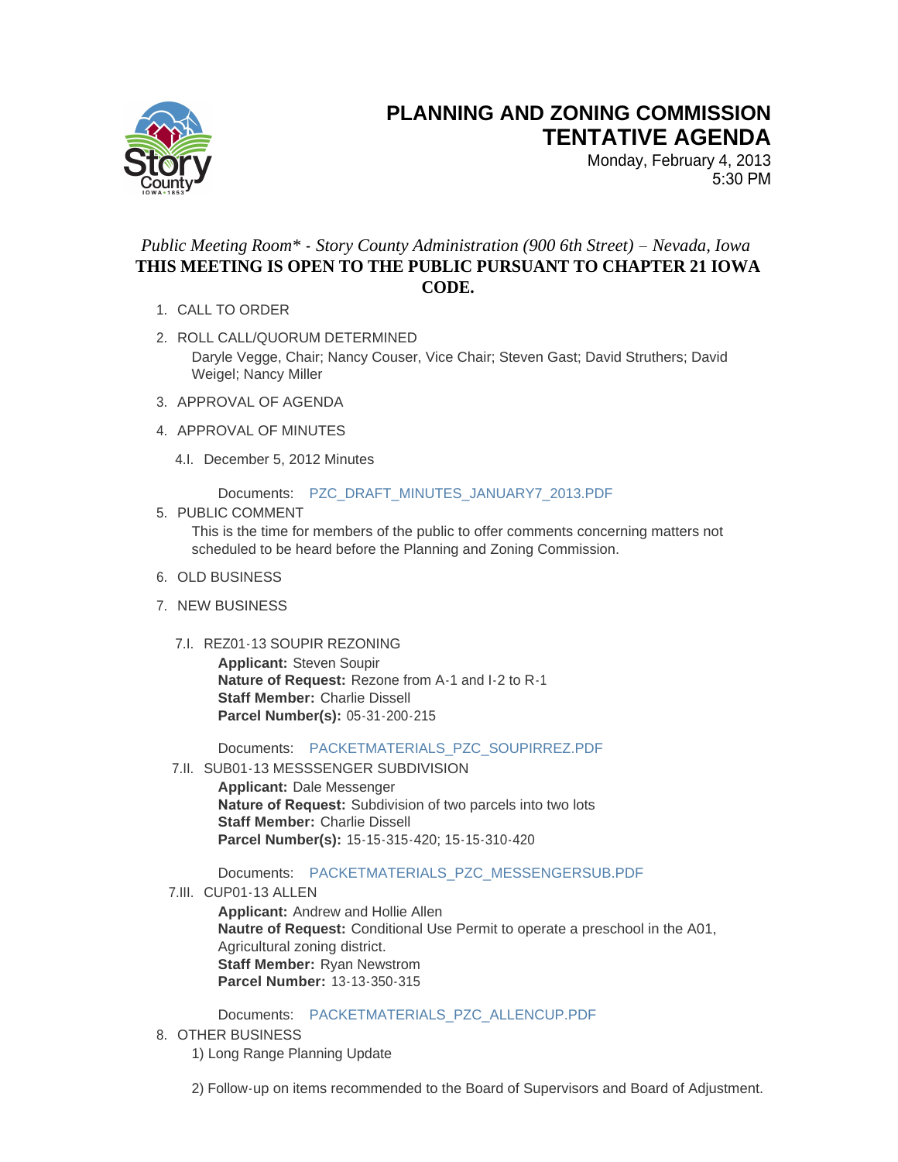

## **PLANNING AND ZONING COMMISSION TENTATIVE AGENDA**

Monday, February 4, 2013 5:30 PM

## *Public Meeting Room\* - Story County Administration (900 6th Street) – Nevada, Iowa* **THIS MEETING IS OPEN TO THE PUBLIC PURSUANT TO CHAPTER 21 IOWA CODE.**

- 1. CALL TO ORDER
- 2. ROLL CALL/QUORUM DETERMINED Daryle Vegge, Chair; Nancy Couser, Vice Chair; Steven Gast; David Struthers; David Weigel; Nancy Miller
- 3. APPROVAL OF AGENDA
- 4. APPROVAL OF MINUTES
	- 4.I. December 5, 2012 Minutes

Documents: [PZC\\_DRAFT\\_MINUTES\\_JANUARY7\\_2013.PDF](http://www.storycountyiowa.gov/Files/AgendaCenter/Items/1454/PZC_Draft_Minutes_January7_2013_201301311357158778.pdf)

## 5. PUBLIC COMMENT

This is the time for members of the public to offer comments concerning matters not scheduled to be heard before the Planning and Zoning Commission.

- 6. OLD BUSINESS
- 7. NEW BUSINESS
	- 7.I. REZ01-13 SOUPIR REZONING

**Applicant:** Steven Soupir **Nature of Request:** Rezone from A-1 and I-2 to R-1 **Staff Member:** Charlie Dissell **Parcel Number(s):** 05-31-200-215

Documents: [PACKETMATERIALS\\_PZC\\_SOUPIRREZ.PDF](http://www.storycountyiowa.gov/Files/AgendaCenter/Items/1341/PacketMaterials_PZC_SoupirREZ_201301311335338278.pdf)

7.II. SUB01-13 MESSSENGER SUBDIVISION

**Applicant:** Dale Messenger **Nature of Request:** Subdivision of two parcels into two lots **Staff Member:** Charlie Dissell **Parcel Number(s):** 15-15-315-420; 15-15-310-420

Documents: [PACKETMATERIALS\\_PZC\\_MESSENGERSUB.PDF](http://www.storycountyiowa.gov/Files/AgendaCenter/Items/1346/PacketMaterials_PZC_MessengerSUB_201301311337144098.pdf)

7.III. CUP01-13 ALLEN

**Applicant:** Andrew and Hollie Allen **Nautre of Request:** Conditional Use Permit to operate a preschool in the A01, Agricultural zoning district. **Staff Member:** Ryan Newstrom **Parcel Number:** 13-13-350-315

Documents: [PACKETMATERIALS\\_PZC\\_ALLENCUP.PDF](http://www.storycountyiowa.gov/Files/AgendaCenter/Items/1348/PacketMaterials_PZC_AllenCUP_201301311338508353.pdf)

8. OTHER BUSINESS

1) Long Range Planning Update

2) Follow-up on items recommended to the Board of Supervisors and Board of Adjustment.